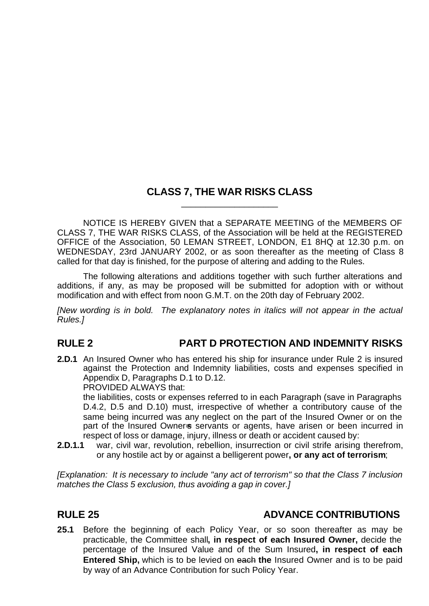## **CLASS 7, THE WAR RISKS CLASS** \_\_\_\_\_\_\_\_\_\_\_\_\_\_\_\_\_\_\_\_

NOTICE IS HEREBY GIVEN that a SEPARATE MEETING of the MEMBERS OF CLASS 7, THE WAR RISKS CLASS, of the Association will be held at the REGISTERED OFFICE of the Association, 50 LEMAN STREET, LONDON, E1 8HQ at 12.30 p.m. on WEDNESDAY, 23rd JANUARY 2002, or as soon thereafter as the meeting of Class 8 called for that day is finished, for the purpose of altering and adding to the Rules.

The following alterations and additions together with such further alterations and additions, if any, as may be proposed will be submitted for adoption with or without modification and with effect from noon G.M.T. on the 20th day of February 2002.

*[New wording is in bold. The explanatory notes in italics will not appear in the actual Rules.]*

## **RULE 2 PART D PROTECTION AND INDEMNITY RISKS**

**2.D.1** An Insured Owner who has entered his ship for insurance under Rule 2 is insured against the Protection and Indemnity liabilities, costs and expenses specified in Appendix D, Paragraphs D.1 to D.12.

PROVIDED ALWAYS that:

the liabilities, costs or expenses referred to in each Paragraph (save in Paragraphs D.4.2, D.5 and D.10) must, irrespective of whether a contributory cause of the same being incurred was any neglect on the part of the Insured Owner or on the part of the Insured Owner-s servants or agents, have arisen or been incurred in respect of loss or damage, injury, illness or death or accident caused by:

**2.D.1.1** war, civil war, revolution, rebellion, insurrection or civil strife arising therefrom, or any hostile act by or against a belligerent power**, or any act of terrorism**;

*[Explanation: It is necessary to include "any act of terrorism" so that the Class 7 inclusion matches the Class 5 exclusion, thus avoiding a gap in cover.]*

## **RULE 25 ADVANCE CONTRIBUTIONS**

**25.1** Before the beginning of each Policy Year, or so soon thereafter as may be practicable, the Committee shall**, in respect of each Insured Owner,** decide the percentage of the Insured Value and of the Sum Insured**, in respect of each Entered Ship,** which is to be levied on each **the** Insured Owner and is to be paid by way of an Advance Contribution for such Policy Year.